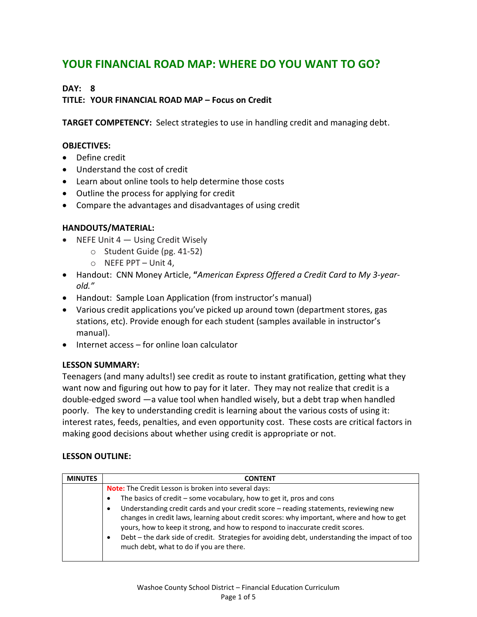# **YOUR FINANCIAL ROAD MAP: WHERE DO YOU WANT TO GO?**

### **DAY: 8**

### **TITLE: YOUR FINANCIAL ROAD MAP – Focus on Credit**

**TARGET COMPETENCY:** Select strategies to use in handling credit and managing debt.

#### **OBJECTIVES:**

- Define credit
- Understand the cost of credit
- Learn about online tools to help determine those costs
- Outline the process for applying for credit
- Compare the advantages and disadvantages of using credit

#### **HANDOUTS/MATERIAL:**

- $\bullet$  NEFE Unit 4  $-$  Using Credit Wisely
	- o Student Guide (pg. 41-52)
	- $\circ$  NEFE PPT Unit 4,
- Handout: CNN Money Article, **"***American Express Offered a Credit Card to My 3-yearold."*
- Handout: Sample Loan Application (from instructor's manual)
- Various credit applications you've picked up around town (department stores, gas stations, etc). Provide enough for each student (samples available in instructor's manual).
- Internet access for online loan calculator

#### **LESSON SUMMARY:**

Teenagers (and many adults!) see credit as route to instant gratification, getting what they want now and figuring out how to pay for it later. They may not realize that credit is a double-edged sword —a value tool when handled wisely, but a debt trap when handled poorly. The key to understanding credit is learning about the various costs of using it: interest rates, feeds, penalties, and even opportunity cost. These costs are critical factors in making good decisions about whether using credit is appropriate or not.

#### **LESSON OUTLINE:**

| <b>MINUTES</b> | <b>CONTENT</b>                                                                                                                                                                                                                                                                                                                                                                                                           |
|----------------|--------------------------------------------------------------------------------------------------------------------------------------------------------------------------------------------------------------------------------------------------------------------------------------------------------------------------------------------------------------------------------------------------------------------------|
|                | Note: The Credit Lesson is broken into several days:                                                                                                                                                                                                                                                                                                                                                                     |
|                | The basics of credit – some vocabulary, how to get it, pros and cons<br>٠                                                                                                                                                                                                                                                                                                                                                |
|                | Understanding credit cards and your credit score - reading statements, reviewing new<br>٠<br>changes in credit laws, learning about credit scores: why important, where and how to get<br>yours, how to keep it strong, and how to respond to inaccurate credit scores.<br>Debt - the dark side of credit. Strategies for avoiding debt, understanding the impact of too<br>٠<br>much debt, what to do if you are there. |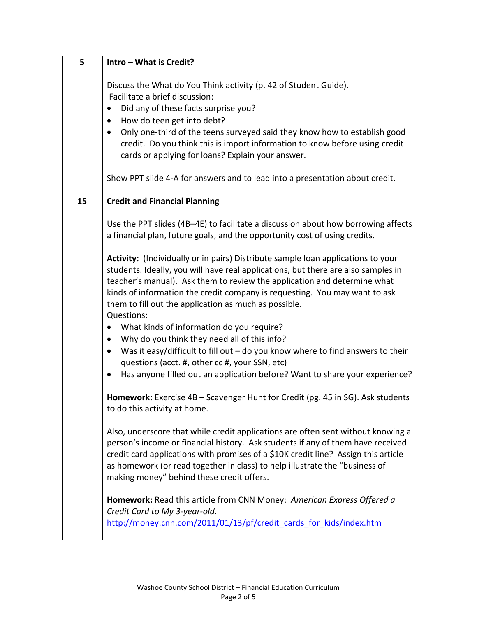| 5  | Intro - What is Credit?                                                                                                                                                                                                                                                                                                                                                                                                                                                                                          |
|----|------------------------------------------------------------------------------------------------------------------------------------------------------------------------------------------------------------------------------------------------------------------------------------------------------------------------------------------------------------------------------------------------------------------------------------------------------------------------------------------------------------------|
|    | Discuss the What do You Think activity (p. 42 of Student Guide).<br>Facilitate a brief discussion:<br>Did any of these facts surprise you?<br>$\bullet$<br>How do teen get into debt?<br>$\bullet$<br>Only one-third of the teens surveyed said they know how to establish good<br>$\bullet$<br>credit. Do you think this is import information to know before using credit<br>cards or applying for loans? Explain your answer.<br>Show PPT slide 4-A for answers and to lead into a presentation about credit. |
|    |                                                                                                                                                                                                                                                                                                                                                                                                                                                                                                                  |
| 15 | <b>Credit and Financial Planning</b>                                                                                                                                                                                                                                                                                                                                                                                                                                                                             |
|    | Use the PPT slides (4B-4E) to facilitate a discussion about how borrowing affects<br>a financial plan, future goals, and the opportunity cost of using credits.                                                                                                                                                                                                                                                                                                                                                  |
|    | Activity: (Individually or in pairs) Distribute sample loan applications to your<br>students. Ideally, you will have real applications, but there are also samples in<br>teacher's manual). Ask them to review the application and determine what<br>kinds of information the credit company is requesting. You may want to ask<br>them to fill out the application as much as possible.<br>Questions:                                                                                                           |
|    | What kinds of information do you require?<br>$\bullet$<br>Why do you think they need all of this info?<br>$\bullet$<br>Was it easy/difficult to fill out $-$ do you know where to find answers to their<br>$\bullet$<br>questions (acct. #, other cc #, your SSN, etc)<br>Has anyone filled out an application before? Want to share your experience?<br>٠                                                                                                                                                       |
|    | Homework: Exercise 4B - Scavenger Hunt for Credit (pg. 45 in SG). Ask students<br>to do this activity at home.                                                                                                                                                                                                                                                                                                                                                                                                   |
|    | Also, underscore that while credit applications are often sent without knowing a<br>person's income or financial history. Ask students if any of them have received<br>credit card applications with promises of a \$10K credit line? Assign this article<br>as homework (or read together in class) to help illustrate the "business of<br>making money" behind these credit offers.                                                                                                                            |
|    | Homework: Read this article from CNN Money: American Express Offered a<br>Credit Card to My 3-year-old.<br>http://money.cnn.com/2011/01/13/pf/credit cards for kids/index.htm                                                                                                                                                                                                                                                                                                                                    |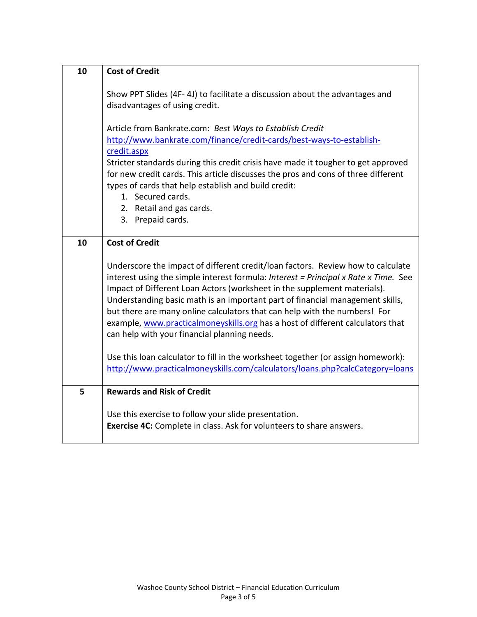| 10 | <b>Cost of Credit</b>                                                                                                                                     |
|----|-----------------------------------------------------------------------------------------------------------------------------------------------------------|
|    |                                                                                                                                                           |
|    | Show PPT Slides (4F-4J) to facilitate a discussion about the advantages and<br>disadvantages of using credit.                                             |
|    |                                                                                                                                                           |
|    | Article from Bankrate.com: Best Ways to Establish Credit                                                                                                  |
|    | http://www.bankrate.com/finance/credit-cards/best-ways-to-establish-                                                                                      |
|    | credit.aspx                                                                                                                                               |
|    | Stricter standards during this credit crisis have made it tougher to get approved                                                                         |
|    | for new credit cards. This article discusses the pros and cons of three different                                                                         |
|    | types of cards that help establish and build credit:                                                                                                      |
|    | 1. Secured cards.<br>2. Retail and gas cards.                                                                                                             |
|    | 3. Prepaid cards.                                                                                                                                         |
|    |                                                                                                                                                           |
| 10 | <b>Cost of Credit</b>                                                                                                                                     |
|    |                                                                                                                                                           |
|    | Underscore the impact of different credit/loan factors. Review how to calculate                                                                           |
|    | interest using the simple interest formula: Interest = Principal x Rate x Time. See                                                                       |
|    | Impact of Different Loan Actors (worksheet in the supplement materials).<br>Understanding basic math is an important part of financial management skills, |
|    | but there are many online calculators that can help with the numbers! For                                                                                 |
|    | example, www.practicalmoneyskills.org has a host of different calculators that                                                                            |
|    | can help with your financial planning needs.                                                                                                              |
|    |                                                                                                                                                           |
|    | Use this loan calculator to fill in the worksheet together (or assign homework):                                                                          |
|    | http://www.practicalmoneyskills.com/calculators/loans.php?calcCategory=loans                                                                              |
| 5  | <b>Rewards and Risk of Credit</b>                                                                                                                         |
|    |                                                                                                                                                           |
|    | Use this exercise to follow your slide presentation.                                                                                                      |
|    | Exercise 4C: Complete in class. Ask for volunteers to share answers.                                                                                      |
|    |                                                                                                                                                           |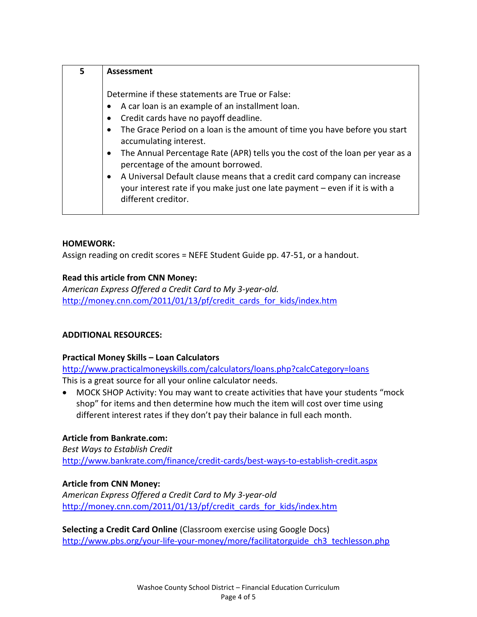| 5 |
|---|
|   |

## **HOMEWORK:**

Assign reading on credit scores = NEFE Student Guide pp. 47-51, or a handout.

### **Read this article from CNN Money:**

*American Express Offered a Credit Card to My 3-year-old.*  [http://money.cnn.com/2011/01/13/pf/credit\\_cards\\_for\\_kids/index.htm](http://money.cnn.com/2011/01/13/pf/credit_cards_for_kids/index.htm)

## **ADDITIONAL RESOURCES:**

### **Practical Money Skills – Loan Calculators**

<http://www.practicalmoneyskills.com/calculators/loans.php?calcCategory=loans> This is a great source for all your online calculator needs.

 MOCK SHOP Activity: You may want to create activities that have your students "mock shop" for items and then determine how much the item will cost over time using different interest rates if they don't pay their balance in full each month.

### **Article from Bankrate.com:**

*Best Ways to Establish Credit* <http://www.bankrate.com/finance/credit-cards/best-ways-to-establish-credit.aspx>

### **Article from CNN Money:**

*American Express Offered a Credit Card to My 3-year-old* [http://money.cnn.com/2011/01/13/pf/credit\\_cards\\_for\\_kids/index.htm](http://money.cnn.com/2011/01/13/pf/credit_cards_for_kids/index.htm)

**Selecting a Credit Card Online** (Classroom exercise using Google Docs) [http://www.pbs.org/your-life-your-money/more/facilitatorguide\\_ch3\\_techlesson.php](http://www.pbs.org/your-life-your-money/more/facilitatorguide_ch3_techlesson.php)